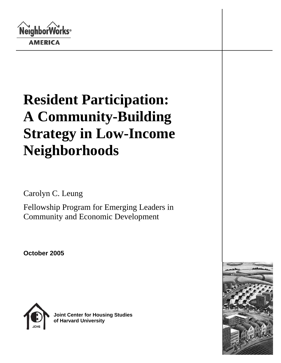**NeighborWorks**® **AMERICA** 

# **Resident Participation: A Community-Building Strategy in Low-Income Neighborhoods**

Carolyn C. Leung

Fellowship Program for Emerging Leaders in Community and Economic Development

**October 2005**



**Joint Center for Housing Studies of Harvard University** 

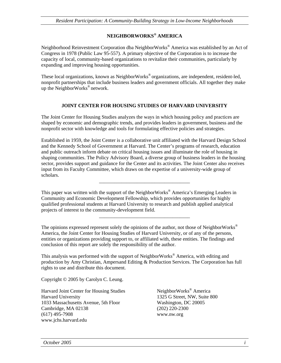## **NEIGHBORWORKS® AMERICA**

Neighborhood Reinvestment Corporation dba NeighborWorks® America was established by an Act of Congress in 1978 (Public Law 95-557). A primary objective of the Corporation is to increase the capacity of local, community-based organizations to revitalize their communities, particularly by expanding and improving housing opportunities.

These local organizations, known as NeighborWorks<sup>®</sup> organizations, are independent, resident-led, nonprofit partnerships that include business leaders and government officials. All together they make up the NeighborWorks® network.

#### **JOINT CENTER FOR HOUSING STUDIES OF HARVARD UNIVERSITY**

The Joint Center for Housing Studies analyzes the ways in which housing policy and practices are shaped by economic and demographic trends, and provides leaders in government, business and the nonprofit sector with knowledge and tools for formulating effective policies and strategies.

Established in 1959, the Joint Center is a collaborative unit affiliated with the Harvard Design School and the Kennedy School of Government at Harvard. The Center's programs of research, education and public outreach inform debate on critical housing issues and illuminate the role of housing in shaping communities. The Policy Advisory Board, a diverse group of business leaders in the housing sector, provides support and guidance for the Center and its activities. The Joint Center also receives input from its Faculty Committee, which draws on the expertise of a university-wide group of scholars.

\_\_\_\_\_\_\_\_\_\_\_\_\_\_\_\_\_\_\_\_\_\_\_\_\_\_\_\_\_\_\_\_\_\_\_\_

\_\_\_\_\_\_\_\_\_\_\_\_\_\_\_\_\_\_\_\_\_\_\_\_\_\_\_\_\_\_\_\_\_\_\_\_

This paper was written with the support of the NeighborWorks® America's Emerging Leaders in Community and Economic Development Fellowship, which provides opportunities for highly qualified professional students at Harvard University to research and publish applied analytical projects of interest to the community-development field.

The opinions expressed represent solely the opinions of the author, not those of NeighborWorks<sup>®</sup> America, the Joint Center for Housing Studies of Harvard University, or of any of the persons, entities or organizations providing support to, or affiliated with, these entities. The findings and conclusion of this report are solely the responsibility of the author.

This analysis was performed with the support of NeighborWorks<sup>®</sup> America, with editing and production by Amy Christian, Ampersand Editing & Production Services. The Corporation has full rights to use and distribute this document.

Copyright © 2005 by Carolyn C. Leung.

Harvard Joint Center for Housing Studies NeighborWorks<sup>®</sup> America Harvard University 1325 G Street, NW, Suite 800 1033 Massachusetts Avenue, 5th Floor Washington, DC 20005 Cambridge, MA 02138 (202) 220-2300 (617) 495-7908 www.nw.org www.jchs.harvard.edu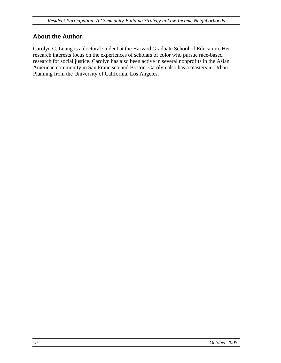## <span id="page-3-0"></span>**About the Author**

Carolyn C. Leung is a doctoral student at the Harvard Graduate School of Education. Her research interests focus on the experiences of scholars of color who pursue race-based research for social justice. Carolyn has also been active in several nonprofits in the Asian American community in San Francisco and Boston. Carolyn also has a masters in Urban Planning from the University of California, Los Angeles.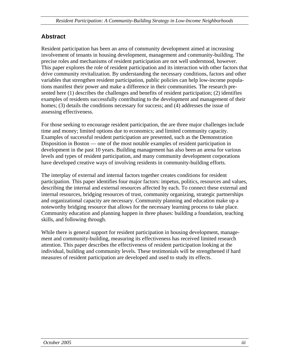## <span id="page-4-0"></span>**Abstract**

Resident participation has been an area of community development aimed at increasing involvement of tenants in housing development, management and community-building. The precise roles and mechanisms of resident participation are not well understood, however. This paper explores the role of resident participation and its interaction with other factors that drive community revitalization. By understanding the necessary conditions, factors and other variables that strengthen resident participation, public policies can help low-income populations manifest their power and make a difference in their communities. The research presented here (1) describes the challenges and benefits of resident participation; (2) identifies examples of residents successfully contributing to the development and management of their homes; (3) details the conditions necessary for success; and (4) addresses the issue of assessing effectiveness.

For those seeking to encourage resident participation, the are three major challenges include time and money; limited options due to economics; and limited community capacity. Examples of successful resident participation are presented, such as the Demonstration Disposition in Boston — one of the most notable examples of resident participation in development in the past 10 years. Building management has also been an arena for various levels and types of resident participation, and many community development corporations have developed creative ways of involving residents in community-building efforts.

The interplay of external and internal factors together creates conditions for resident participation. This paper identifies four major factors: impetus, politics, resources and values, describing the internal and external resources affected by each. To connect these external and internal resources, bridging resources of trust, community organizing, strategic partnerships and organizational capacity are necessary. Community planning and education make up a noteworthy bridging resource that allows for the necessary learning process to take place. Community education and planning happen in three phases: building a foundation, teaching skills, and following through.

While there is general support for resident participation in housing development, management and community-building, measuring its effectiveness has received limited research attention. This paper describes the effectiveness of resident participation looking at the individual, building and community levels. These testimonials will be strengthened if hard measures of resident participation are developed and used to study its effects.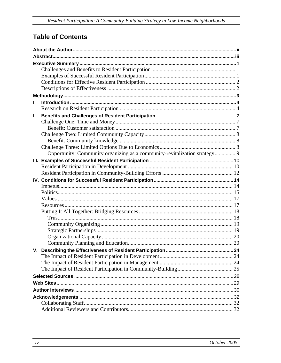## **Table of Contents**

| L. |                                                                            |  |  |  |  |
|----|----------------------------------------------------------------------------|--|--|--|--|
|    |                                                                            |  |  |  |  |
| Ш. |                                                                            |  |  |  |  |
|    |                                                                            |  |  |  |  |
|    |                                                                            |  |  |  |  |
|    |                                                                            |  |  |  |  |
|    |                                                                            |  |  |  |  |
|    |                                                                            |  |  |  |  |
|    | Opportunity: Community organizing as a community-revitalization strategy 9 |  |  |  |  |
|    |                                                                            |  |  |  |  |
|    |                                                                            |  |  |  |  |
|    |                                                                            |  |  |  |  |
|    |                                                                            |  |  |  |  |
|    |                                                                            |  |  |  |  |
|    |                                                                            |  |  |  |  |
|    |                                                                            |  |  |  |  |
|    |                                                                            |  |  |  |  |
|    |                                                                            |  |  |  |  |
|    |                                                                            |  |  |  |  |
|    |                                                                            |  |  |  |  |
|    |                                                                            |  |  |  |  |
|    |                                                                            |  |  |  |  |
|    |                                                                            |  |  |  |  |
|    |                                                                            |  |  |  |  |
|    |                                                                            |  |  |  |  |
|    |                                                                            |  |  |  |  |
|    |                                                                            |  |  |  |  |
|    |                                                                            |  |  |  |  |
|    |                                                                            |  |  |  |  |
|    |                                                                            |  |  |  |  |
|    |                                                                            |  |  |  |  |
|    |                                                                            |  |  |  |  |
|    |                                                                            |  |  |  |  |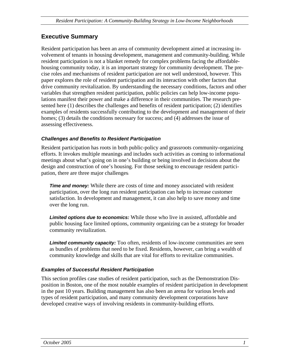## <span id="page-6-0"></span>**Executive Summary**

Resident participation has been an area of community development aimed at increasing involvement of tenants in housing development, management and community-building. While resident participation is not a blanket remedy for complex problems facing the affordablehousing community today, it is an important strategy for community development. The precise roles and mechanisms of resident participation are not well understood, however. This paper explores the role of resident participation and its interaction with other factors that drive community revitalization. By understanding the necessary conditions, factors and other variables that strengthen resident participation, public policies can help low-income populations manifest their power and make a difference in their communities. The research presented here (1) describes the challenges and benefits of resident participation; (2) identifies examples of residents successfully contributing to the development and management of their homes; (3) details the conditions necessary for success; and (4) addresses the issue of assessing effectiveness.

#### *Challenges and Benefits to Resident Participation*

Resident participation has roots in both public-policy and grassroots community-organizing efforts. It invokes multiple meanings and includes such activities as coming to informational meetings about what's going on in one's building or being involved in decisions about the design and construction of one's housing. For those seeking to encourage resident participation, there are three major challenges:

*Time and money:* While there are costs of time and money associated with resident participation, over the long run resident participation can help to increase customer satisfaction. In development and management, it can also help to save money and time over the long run.

*Limited options due to economics:* While those who live in assisted, affordable and public housing face limited options, community organizing can be a strategy for broader community revitalization.

*Limited community capacity:* Too often, residents of low-income communities are seen as bundles of problems that need to be fixed. Residents, however, can bring a wealth of community knowledge and skills that are vital for efforts to revitalize communities.

#### *Examples of Successful Resident Participation*

This section profiles case studies of resident participation, such as the Demonstration Disposition in Boston, one of the most notable examples of resident participation in development in the past 10 years. Building management has also been an arena for various levels and types of resident participation, and many community development corporations have developed creative ways of involving residents in community-building efforts.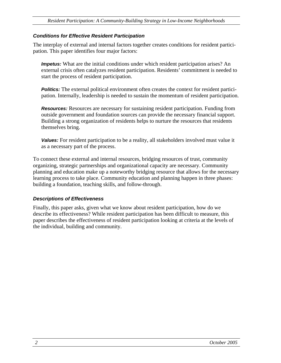#### <span id="page-7-0"></span>*Conditions for Effective Resident Participation*

The interplay of external and internal factors together creates conditions for resident participation. This paper identifies four major factors:

*Impetus:* What are the initial conditions under which resident participation arises? An external crisis often catalyzes resident participation. Residents' commitment is needed to start the process of resident participation.

**Politics:** The external political environment often creates the context for resident participation. Internally, leadership is needed to sustain the momentum of resident participation.

*Resources:* Resources are necessary for sustaining resident participation. Funding from outside government and foundation sources can provide the necessary financial support. Building a strong organization of residents helps to nurture the resources that residents themselves bring.

*Values:* For resident participation to be a reality, all stakeholders involved must value it as a necessary part of the process.

To connect these external and internal resources, bridging resources of trust, community organizing, strategic partnerships and organizational capacity are necessary. Community planning and education make up a noteworthy bridging resource that allows for the necessary learning process to take place. Community education and planning happen in three phases: building a foundation, teaching skills, and follow-through.

#### *Descriptions of Effectiveness*

Finally, this paper asks, given what we know about resident participation, how do we describe its effectiveness? While resident participation has been difficult to measure, this paper describes the effectiveness of resident participation looking at criteria at the levels of the individual, building and community.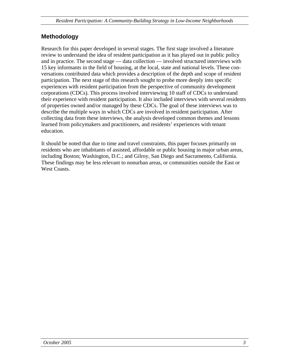## <span id="page-8-0"></span>**Methodology**

Research for this paper developed in several stages. The first stage involved a literature review to understand the idea of resident participation as it has played out in public policy and in practice. The second stage — data collection — involved structured interviews with 15 key informants in the field of housing, at the local, state and national levels. These conversations contributed data which provides a description of the depth and scope of resident participation. The next stage of this research sought to probe more deeply into specific experiences with resident participation from the perspective of community development corporations (CDCs). This process involved interviewing 10 staff of CDCs to understand their experience with resident participation. It also included interviews with several residents of properties owned and/or managed by these CDCs. The goal of these interviews was to describe the multiple ways in which CDCs are involved in resident participation. After collecting data from these interviews, the analysis developed common themes and lessons learned from policymakers and practitioners, and residents' experiences with tenant education.

It should be noted that due to time and travel constraints, this paper focuses primarily on residents who are inhabitants of assisted, affordable or public housing in major urban areas, including Boston; Washington, D.C.; and Gilroy, San Diego and Sacramento, California. These findings may be less relevant to nonurban areas, or communities outside the East or West Coasts.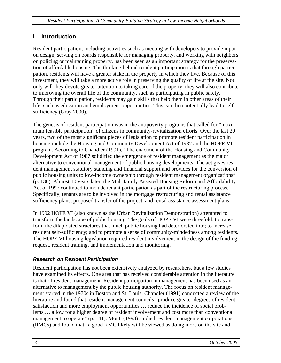## <span id="page-9-0"></span>**I. Introduction**

Resident participation, including activities such as meeting with developers to provide input on design, serving on boards responsible for managing property, and working with neighbors on policing or maintaining property, has been seen as an important strategy for the preservation of affordable housing. The thinking behind resident participation is that through participation, residents will have a greater stake in the property in which they live. Because of this investment, they will take a more active role in preserving the quality of life at the site. Not only will they devote greater attention to taking care of the property, they will also contribute to improving the overall life of the community, such as participating in public safety. Through their participation, residents may gain skills that help them in other areas of their life, such as education and employment opportunities. This can then potentially lead to selfsufficiency (Gray 2000).

The genesis of resident participation was in the antipoverty programs that called for "maximum feasible participation" of citizens in community-revitalization efforts. Over the last 20 years, two of the most significant pieces of legislation to promote resident participation in housing include the Housing and Community Development Act of 1987 and the HOPE VI program. According to Chandler (1991), "The enactment of the Housing and Community Development Act of 1987 solidified the emergence of resident management as the major alternative to conventional management of public housing developments. The act gives resident management statutory standing and financial support and provides for the conversion of public housing units to low-income ownership through resident management organizations" (p. 136). Almost 10 years later, the Multifamily Assisted Housing Reform and Affordability Act of 1997 continued to include tenant participation as part of the restructuring process. Specifically, tenants are to be involved in the mortgage restructuring and rental assistance sufficiency plans, proposed transfer of the project, and rental assistance assessment plans.

In 1992 HOPE VI (also known as the Urban Revitalization Demonstration) attempted to transform the landscape of public housing. The goals of HOPE VI were threefold: to transform the dilapidated structures that much public housing had deteriorated into; to increase resident self-sufficiency; and to promote a sense of community-mindedness among residents. The HOPE VI housing legislation required resident involvement in the design of the funding request, resident training, and implementation and monitoring.

## *Research on Resident Participation*

Resident participation has not been extensively analyzed by researchers, but a few studies have examined its effects. One area that has received considerable attention in the literature is that of resident management. Resident participation in management has been used as an alternative to management by the public housing authority. The focus on resident management started in the 1970s in Boston and St. Louis. Chandler (1991) conducted a review of the literature and found that resident management councils "produce greater degrees of resident satisfaction and more employment opportunities,… reduce the incidence of social problems,… allow for a higher degree of resident involvement and cost more than conventional management to operate" (p. 141). Monti (1993) studied resident management corporations (RMCs) and found that "a good RMC likely will be viewed as doing more on the site and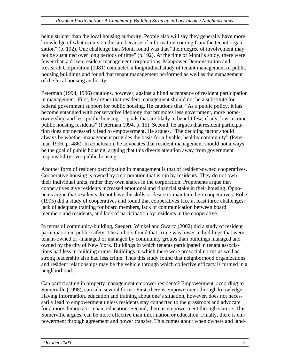being stricter than the local housing authority. People also will say they generally have more knowledge of what occurs on the site because of information coming from the tenant organization" (p. 192). One challenge that Monti found was that "their degree of involvement may not be sustained over long periods of time" (p.192). At the time of Monti's study, there were fewer than a dozen resident management corporations. Manpower Demonstration and Research Corporation (1981) conducted a longitudinal study of tenant management of public housing buildings and found that tenant management performed as well as the management of the local housing authority.

Peterman (1994, 1996) cautions, however, against a blind acceptance of resident participation in management. First, he argues that resident management should not be a substitute for federal government support for public housing. He cautions that, "As a public policy, it has become entangled with conservative ideology that promotes less government, more homeownership, and less public housing — goals that are likely to benefit few, if any, low-income public housing residents" (Peterman 1994, p. 15). Second, he argues that resident participation does not necessarily lead to empowerment. He argues, "The deciding factor should always be whether management provides the basis for a livable, healthy community" (Peterman 1996, p. 486). In conclusion, he advocates that resident management should not always be the goal of public housing, arguing that this diverts attention away from government responsibility over public housing.

Another form of resident participation in management is that of resident-owned cooperatives. Cooperative housing is owned by a corporation that is run by residents. They do not own their individual units; rather they own shares in the corporation. Proponents argue that cooperatives give residents increased emotional and financial stake in their housing. Opponents argue that residents do not have the skills or desire to maintain their cooperatives. Rohe (1995) did a study of cooperatives and found that cooperatives face at least three challenges: lack of adequate training for board members, lack of communication between board members and residents, and lack of participation by residents in the cooperative.

In terms of community-building, Saegert, Winkel and Swartz (2002) did a study of resident participation in public safety. The authors found that crime was lower in buildings that were tenant-owned or -managed or managed by community groups than buildings managed and owned by the city of New York. Buildings in which tenants participated in tenant associations had less in-building crime. Buildings in which there were prosocial norms as well as strong leadership also had less crime. Thus this study found that neighborhood organizations and resident relationships may be the vehicle through which collective efficacy is formed in a neighborhood.

Can participating in property management empower residents? Empowerment, according to Somerville (1998), can take several forms. First, there is empowerment through knowledge. Having information, education and training about one's situation, however, does not necessarily lead to empowerment unless residents stay connected to the grassroots and advocate for a more democratic tenant education. Second, there is empowerment through stature. This, Somerville argues, can be more effective than information or education. Finally, there is empowerment through agreement and power transfer. This comes about when owners and land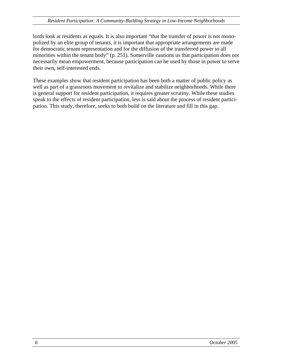lords look at residents as equals. It is also important "that the transfer of power is not monopolized by an elite group of tenants, it is important that appropriate arrangements are made for democratic tenant representation and for the diffusion of the transferred power to all minorities within the tenant body" (p. 251). Somerville cautions us that participation does not necessarily mean empowerment, because participation can be used by those in power to serve their own, self-interested ends.

These examples show that resident participation has been both a matter of public policy as well as part of a grassroots movement to revitalize and stabilize neighborhoods. While there is general support for resident participation, it requires greater scrutiny. While these studies speak to the effects of resident participation, less is said about the process of resident participation. This study, therefore, seeks to both build on the literature and fill in this gap.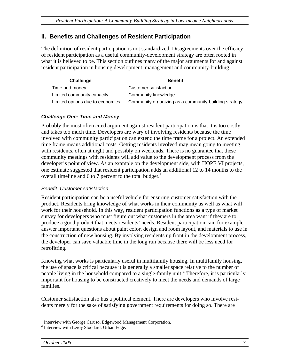## <span id="page-12-0"></span>**II. Benefits and Challenges of Resident Participation**

The definition of resident participation is not standardized. Disagreements over the efficacy of resident participation as a useful community-development strategy are often rooted in what it is believed to be. This section outlines many of the major arguments for and against resident participation in housing development, management and community-building.

| Challenge                        | <b>Benefit</b>                                        |
|----------------------------------|-------------------------------------------------------|
| Time and money                   | Customer satisfaction                                 |
| Limited community capacity       | Community knowledge                                   |
| Limited options due to economics | Community organizing as a community-building strategy |

#### *Challenge One: Time and Money*

Probably the most often cited argument against resident participation is that it is too costly and takes too much time. Developers are wary of involving residents because the time involved with community participation can extend the time frame for a project. An extended time frame means additional costs. Getting residents involved may mean going to meeting with residents, often at night and possibly on weekends. There is no guarantee that these community meetings with residents will add value to the development process from the developer's point of view. As an example on the development side, with HOPE VI projects, one estimate suggested that resident participation adds an additional 12 to 14 months to the overall timeline and 6 to 7 percent to the total budget. $<sup>1</sup>$  $<sup>1</sup>$  $<sup>1</sup>$ </sup>

#### *Benefit: Customer satisfaction*

Resident participation can be a useful vehicle for ensuring customer satisfaction with the product. Residents bring knowledge of what works in their community as well as what will work for their household. In this way, resident participation functions as a type of market survey for developers who must figure out what customers in the area want if they are to produce a good product that meets residents' needs. Resident participation can, for example answer important questions about paint color, design and room layout, and materials to use in the construction of new housing. By involving residents up front in the development process, the developer can save valuable time in the long run because there will be less need for retrofitting.

Knowing what works is particularly useful in multifamily housing. In multifamily housing, the use of space is critical because it is generally a smaller space relative to the number of people living in the household compared to a single-family unit.<sup>[2](#page-12-2)</sup> Therefore, it is particularly important for housing to be constructed creatively to meet the needs and demands of large families.

Customer satisfaction also has a political element. There are developers who involve residents merely for the sake of satisfying government requirements for doing so. There are

 $\overline{a}$ 

<span id="page-12-1"></span><sup>&</sup>lt;sup>1</sup> Interview with George Caruso, Edgewood Management Corporation.

<span id="page-12-2"></span><sup>&</sup>lt;sup>2</sup> Interview with Leroy Stoddard, Urban Edge.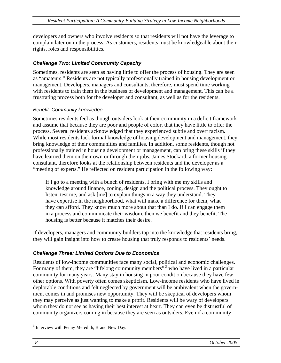<span id="page-13-0"></span>developers and owners who involve residents so that residents will not have the leverage to complain later on in the process. As customers, residents must be knowledgeable about their rights, roles and responsibilities.

#### *Challenge Two: Limited Community Capacity*

Sometimes, residents are seen as having little to offer the process of housing. They are seen as "amateurs." Residents are not typically professionally trained in housing development or management. Developers, managers and consultants, therefore, must spend time working with residents to train them in the business of development and management. This can be a frustrating process both for the developer and consultant, as well as for the residents.

#### *Benefit: Community knowledge*

Sometimes residents feel as though outsiders look at their community in a deficit framework and assume that because they are poor and people of color, that they have little to offer the process. Several residents acknowledged that they experienced subtle and overt racism. While most residents lack formal knowledge of housing development and management, they bring knowledge of their communities and families. In addition, some residents, though not professionally trained in housing development or management, can bring these skills if they have learned them on their own or through their jobs. James Stockard, a former housing consultant, therefore looks at the relationship between residents and the developer as a "meeting of experts." He reflected on resident participation in the following way:

If I go to a meeting with a bunch of residents, I bring with me my skills and knowledge around finance, zoning, design and the political process. They ought to listen, test me, and ask [me] to explain things in a way they understand. They have expertise in the neighborhood, what will make a difference for them, what they can afford. They know much more about that than I do. If I can engage them in a process and communicate their wisdom, then we benefit and they benefit. The housing is better because it matches their desire.

If developers, managers and community builders tap into the knowledge that residents bring, they will gain insight into how to create housing that truly responds to residents' needs.

#### *Challenge Three: Limited Options Due to Economics*

Residents of low-income communities face many social, political and economic challenges. For many of them, they are "lifelong community members"<sup>[3](#page-13-1)</sup> who have lived in a particular community for many years. Many stay in housing in poor condition because they have few other options. With poverty often comes skepticism. Low-income residents who have lived in deplorable conditions and felt neglected by government will be ambivalent when the government comes in and promises new opportunity. They will be skeptical of developers whom they may perceive as just wanting to make a profit. Residents will be wary of developers whom they do not see as having their best interest at heart. They can even be distrustful of community organizers coming in because they are seen as outsiders. Even if a community

<span id="page-13-1"></span> $\overline{a}$ <sup>3</sup> Interview with Penny Meredith, Brand New Day.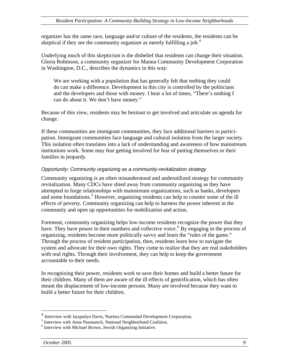<span id="page-14-0"></span>organizer has the same race, language and/or culture of the residents, the residents can be skeptical if they see the community organizer as merely fulfilling a job.<sup>[4](#page-14-1)</sup>

Underlying much of this skepticism is the disbelief that residents can change their situation. Gloria Robinson, a community organizer for Manna Community Development Corporation in Washington, D.C., describes the dynamics in this way:

We are working with a population that has generally felt that nothing they could do can make a difference. Development in this city is controlled by the politicians and the developers and those with money. I hear a lot of times, "There's nothing I can do about it. We don't have money."

Because of this view, residents may be hesitant to get involved and articulate an agenda for change.

If these communities are immigrant communities, they face additional barriers to participation. Immigrant communities face language and cultural isolation from the larger society. This isolation often translates into a lack of understanding and awareness of how mainstream institutions work. Some may fear getting involved for fear of putting themselves or their families in jeopardy.

#### *Opportunity: Community organizing as a community-revitalization strategy*

Community organizing is an often misunderstood and underutilized strategy for community revitalization. Many CDCs have shied away from community organizing as they have attempted to forge relationships with mainstream organizations, such as banks, developers and some foundations.<sup>[5](#page-14-2)</sup> However, organizing residents can help to counter some of the ill effects of poverty. Community organizing can help to harness the power inherent in the community and open up opportunities for mobilization and action.

Foremost, community organizing helps low-income residents recognize the power that they have. They have power in their numbers and collective voice.<sup>[6](#page-14-3)</sup> By engaging in the process of organizing, residents become more politically savvy and learn the "rules of the game." Through the process of resident participation, then, residents learn how to navigate the system and advocate for their own rights. They come to realize that they are real stakeholders with real rights. Through their involvement, they can help to keep the government accountable to their needs.

In recognizing their power, residents work to save their homes and build a better future for their children. Many of them are aware of the ill effects of gentrification, which has often meant the displacement of low-income persons. Many are involved because they want to build a better future for their children.

 $\overline{a}$ 

<span id="page-14-1"></span> $<sup>4</sup>$  Interview with Jacquelyn Davis, Nuestra Comunidad Development Corporation.</sup>

<span id="page-14-2"></span><sup>&</sup>lt;sup>5</sup> Interview with Anne Pasmanick, National Neighborhood Coalition.

<span id="page-14-3"></span><sup>&</sup>lt;sup>6</sup> Interview with Michael Brown, Jewish Organizing Initiative.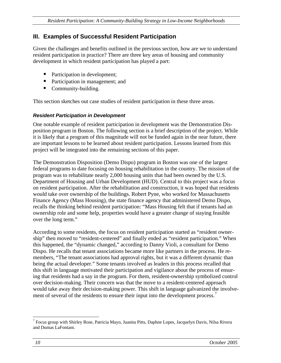## <span id="page-15-0"></span>**III. Examples of Successful Resident Participation**

Given the challenges and benefits outlined in the previous section, how are we to understand resident participation in practice? There are three key areas of housing and community development in which resident participation has played a part:

- Participation in development;
- Participation in management; and
- Community-building.

This section sketches out case studies of resident participation in these three areas.

#### *Resident Participation in Development*

One notable example of resident participation in development was the Demonstration Disposition program in Boston. The following section is a brief description of the project. While it is likely that a program of this magnitude will not be funded again in the near future, there are important lessons to be learned about resident participation. Lessons learned from this project will be integrated into the remaining sections of this paper.

The Demonstration Disposition (Demo Dispo) program in Boston was one of the largest federal programs to date focusing on housing rehabilitation in the country. The mission of the program was to rehabilitate nearly 2,000 housing units that had been owned by the U.S. Department of Housing and Urban Development (HUD). Central to this project was a focus on resident participation. After the rehabilitation and construction, it was hoped that residents would take over ownership of the buildings. Robert Pyne, who worked for Massachusetts Finance Agency (Mass Housing), the state finance agency that administered Demo Dispo, recalls the thinking behind resident participation: "Mass Housing felt that if tenants had an ownership role and some help, properties would have a greater change of staying feasible over the long term."

According to some residents, the focus on resident participation started as "resident ownership" then moved to "resident-centered" and finally ended as "resident participation." When this happened, the "dynamic changed," according to Danny Violi, a consultant for Demo Dispo. He recalls that tenant associations became more like partners in the process. He remembers, "The tenant associations had approval rights, but it was a different dynamic than being the actual developer." Some tenants involved as leaders in this process recalled that this shift in language motivated their participation and vigilance about the process of ensuring that residents had a say in the program. For them, resident-ownership symbolized control over decision-making. Their concern was that the move to a resident-centered approach would take away their decision-making power. This shift in language galvanized the involve-ment of several of the residents to ensure their input into the development process.<sup>[7](#page-15-1)</sup>

 $\overline{a}$ 

<span id="page-15-1"></span><sup>&</sup>lt;sup>7</sup> Focus group with Shirley Rose, Patricia Mayo, Juanita Pitts, Daphne Lopes, Jacquelyn Davis, Nilsa Rivera and Dumas LaFontant.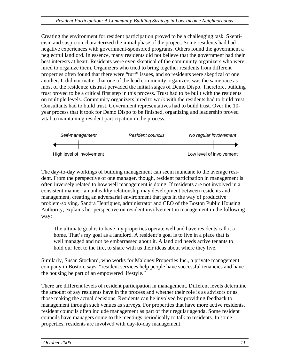Creating the environment for resident participation proved to be a challenging task. Skepticism and suspicion characterized the initial phase of the project. Some residents had had negative experiences with government-sponsored programs. Others found the government a neglectful landlord. In essence, many residents did not believe that the government had their best interests at heart. Residents were even skeptical of the community organizers who were hired to organize them. Organizers who tried to bring together residents from different properties often found that there were "turf" issues, and so residents were skeptical of one another. It did not matter that one of the lead community organizers was the same race as most of the residents; distrust pervaded the initial stages of Demo Dispo. Therefore, building trust proved to be a critical first step in this process. Trust had to be built with the residents on multiple levels. Community organizers hired to work with the residents had to build trust. Consultants had to build trust. Government representatives had to build trust. Over the 10 year process that it took for Demo Dispo to be finished, organizing and leadership proved vital to maintaining resident participation in the process.



The day-to-day workings of building management can seem mundane to the average resident. From the perspective of one manager, though, resident participation in management is often inversely related to how well management is doing. If residents are not involved in a consistent manner, an unhealthy relationship may development between residents and management, creating an adversarial environment that gets in the way of productive problem-solving. Sandra Henriquez, administrator and CEO of the Boston Public Housing Authority, explains her perspective on resident involvement in management in the following way:

The ultimate goal is to have my properties operate well and have residents call it a home. That's my goal as a landlord. A resident's goal is to live in a place that is well managed and not be embarrassed about it. A landlord needs active tenants to hold our feet to the fire, to share with us their ideas about where they live.

Similarly, Susan Stockard, who works for Maloney Properties Inc., a private management company in Boston, says, "resident services help people have successful tenancies and have the housing be part of an empowered lifestyle."

There are different levels of resident participation in management. Different levels determine the amount of say residents have in the process and whether their role is as advisors or as those making the actual decisions. Residents can be involved by providing feedback to management through such venues as surveys. For properties that have more active residents, resident councils often include management as part of their regular agenda. Some resident councils have managers come to the meetings periodically to talk to residents. In some properties, residents are involved with day-to-day management.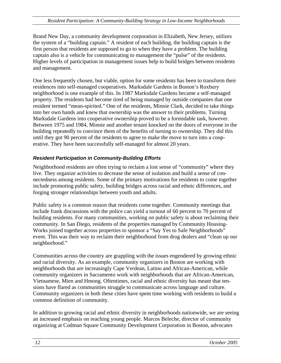<span id="page-17-0"></span>Brand New Day, a community development corporation in Elizabeth, New Jersey, utilizes the system of a "building captain." A resident of each building, the building captain is the first person that residents are supposed to go to when they have a problem. The building captain also is a vehicle for communicating to management the "pulse" of the residents. Higher levels of participation in management issues help to build bridges between residents and management.

One less frequently chosen, but viable, option for some residents has been to transform their residences into self-managed cooperatives. Marksdale Gardens in Boston's Roxbury neighborhood is one example of this. In 1987 Marksdale Gardens became a self-managed property. The residents had become tired of being managed by outside companies that one resident termed "mean-spirited." One of the residents, Minnie Clark, decided to take things into her own hands and knew that ownership was the answer to their problems. Turning Marksdale Gardens into cooperative ownership proved to be a formidable task, however. Between 1975 and 1984, Minnie and another tenant knocked on the doors of everyone in the building repeatedly to convince them of the benefits of turning to ownership. They did this until they got 90 percent of the residents to agree to make the move to turn into a cooperative. They have been successfully self-managed for almost 20 years.

#### *Resident Participation in Community-Building Efforts*

Neighborhood residents are often trying to reclaim a lost sense of "community" where they live. They organize activities to decrease the sense of isolation and build a sense of connectedness among residents. Some of the primary motivations for residents to come together include promoting public safety, building bridges across racial and ethnic differences, and forging stronger relationships between youth and adults.

Public safety is a common reason that residents come together. Community meetings that include frank discussions with the police can yield a turnout of 60 percent to 70 percent of building residents. For many communities, working on public safety is about reclaiming their community. In San Diego, residents of the properties managed by Community Housing-Works joined together across properties to sponsor a "Say Yes to Safe Neighborhoods" event. This was their way to reclaim their neighborhood from drug dealers and "clean up our neighborhood."

Communities across the country are grappling with the issues engendered by growing ethnic and racial diversity. As an example, community organizers in Boston are working with neighborhoods that are increasingly Cape Verdean, Latino and African-American, while community organizers in Sacramento work with neighborhoods that are African-American, Vietnamese, Mien and Hmong. Oftentimes, racial and ethnic diversity has meant that tensions have flared as communities struggle to communicate across language and culture. Community organizers in both these cities have spent time working with residents to build a common definition of community.

In addition to growing racial and ethnic diversity in neighborhoods nationwide, we are seeing an increased emphasis on reaching young people. Marcos Beleche, director of community organizing at Codman Square Community Development Corporation in Boston, advocates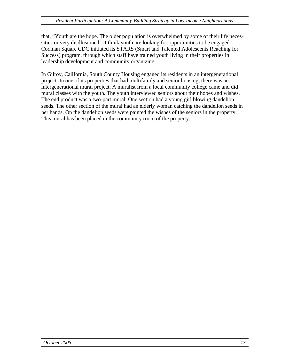that, "Youth are the hope. The older population is overwhelmed by some of their life necessities or very disillusioned…I think youth are looking for opportunities to be engaged." Codman Square CDC initiated its STARS (Smart and Talented Adolescents Reaching for Success) program, through which staff have trained youth living in their properties in leadership development and community organizing.

In Gilroy, California, South County Housing engaged its residents in an intergenerational project. In one of its properties that had multifamily and senior housing, there was an intergenerational mural project. A muralist from a local community college came and did mural classes with the youth. The youth interviewed seniors about their hopes and wishes. The end product was a two-part mural. One section had a young girl blowing dandelion seeds. The other section of the mural had an elderly woman catching the dandelion seeds in her hands. On the dandelion seeds were painted the wishes of the seniors in the property. This mural has been placed in the community room of the property.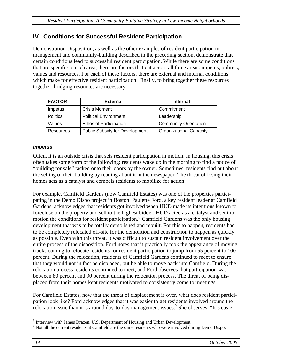## <span id="page-19-0"></span>**IV. Conditions for Successful Resident Participation**

Demonstration Disposition, as well as the other examples of resident participation in management and community-building described in the preceding section, demonstrate that certain conditions lead to successful resident participation. While there are some conditions that are specific to each area, there are factors that cut across all three areas: impetus, politics, values and resources. For each of these factors, there are external and internal conditions which make for effective resident participation. Finally, to bring together these resources together, bridging resources are necessary.

| <b>FACTOR</b>    | <b>External</b>                | <b>Internal</b>                |
|------------------|--------------------------------|--------------------------------|
| Impetus          | <b>Crisis Moment</b>           | Commitment                     |
| <b>Politics</b>  | <b>Political Environment</b>   | Leadership                     |
| Values           | <b>Ethos of Participation</b>  | <b>Community Orientation</b>   |
| <b>Resources</b> | Public Subsidy for Development | <b>Organizational Capacity</b> |

#### *Impetus*

Often, it is an outside crisis that sets resident participation in motion. In housing, this crisis often takes some form of the following: residents wake up in the morning to find a notice of "building for sale" tacked onto their doors by the owner. Sometimes, residents find out about the selling of their building by reading about it in the newspaper. The threat of losing their homes acts as a catalyst and compels residents to mobilize for action.

For example, Camfield Gardens (now Camfield Estates) was one of the properties participating in the Demo Dispo project in Boston. Paulette Ford, a key resident leader at Camfield Gardens, acknowledges that residents got involved when HUD made its intentions known to foreclose on the property and sell to the highest bidder. HUD acted as a catalyst and set into motion the conditions for resident participation.<sup>[8](#page-19-1)</sup> Camfield Gardens was the only housing development that was to be totally demolished and rebuilt. For this to happen, residents had to be completely relocated off-site for the demolition and construction to happen as quickly as possible. Even with this threat, it was difficult to sustain resident involvement over the entire process of the disposition. Ford notes that it practically took the appearance of moving trucks coming to relocate residents for resident participation to jump from 55 percent to 100 percent. During the relocation, residents of Camfield Gardens continued to meet to ensure that they would not in fact be displaced, but be able to move back into Camfield. During the relocation process residents continued to meet, and Ford observes that participation was between 80 percent and 90 percent during the relocation process. The threat of being displaced from their homes kept residents motivated to consistently come to meetings.

For Camfield Estates, now that the threat of displacement is over, what does resident participation look like? Ford acknowledges that it was easier to get residents involved around the relocation issue than it is around day-to-day management issues.<sup>9</sup> She observes, "It's easier

 $\overline{a}$  $^8$  Interview with James Drazen, U.S. Department of Housing and Urban Development.

<span id="page-19-2"></span><span id="page-19-1"></span><sup>&</sup>lt;sup>9</sup> Not all the current residents at Camfield are the same residents who were involved during Demo Dispo.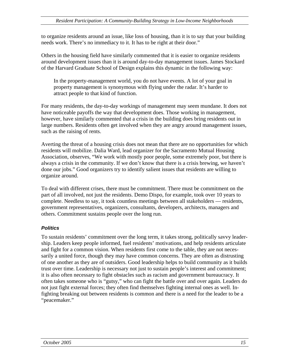<span id="page-20-0"></span>to organize residents around an issue, like loss of housing, than it is to say that your building needs work. There's no immediacy to it. It has to be right at their door."

Others in the housing field have similarly commented that it is easier to organize residents around development issues than it is around day-to-day management issues. James Stockard of the Harvard Graduate School of Design explains this dynamic in the following way:

In the property-management world, you do not have events. A lot of your goal in property management is synonymous with flying under the radar. It's harder to attract people to that kind of function.

For many residents, the day-to-day workings of management may seem mundane. It does not have noticeable payoffs the way that development does. Those working in management, however, have similarly commented that a crisis in the building does bring residents out in large numbers. Residents often get involved when they are angry around management issues, such as the raising of rents.

Averting the threat of a housing crisis does not mean that there are no opportunities for which residents will mobilize. Dalia Ward, lead organizer for the Sacramento Mutual Housing Association, observes, "We work with mostly poor people, some extremely poor, but there is always a crisis in the community. If we don't know that there is a crisis brewing, we haven't done our jobs." Good organizers try to identify salient issues that residents are willing to organize around.

To deal with different crises, there must be commitment. There must be commitment on the part of all involved, not just the residents. Demo Dispo, for example, took over 10 years to complete. Needless to say, it took countless meetings between all stakeholders — residents, government representatives, organizers, consultants, developers, architects, managers and others. Commitment sustains people over the long run.

#### *Politics*

To sustain residents' commitment over the long term, it takes strong, politically savvy leadership. Leaders keep people informed, fuel residents' motivations, and help residents articulate and fight for a common vision. When residents first come to the table, they are not necessarily a united force, though they may have common concerns. They are often as distrusting of one another as they are of outsiders. Good leadership helps to build community as it builds trust over time. Leadership is necessary not just to sustain people's interest and commitment; it is also often necessary to fight obstacles such as racism and government bureaucracy. It often takes someone who is "gutsy," who can fight the battle over and over again. Leaders do not just fight external forces; they often find themselves fighting internal ones as well. Infighting breaking out between residents is common and there is a need for the leader to be a "peacemaker."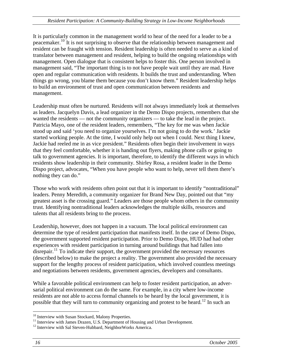It is particularly common in the management world to hear of the need for a leader to be a peacemaker.[10](#page-21-0) It is not surprising to observe that the relationship between management and resident can be fraught with tension. Resident leadership is often needed to serve as a kind of translator between management and resident, helping to build the ongoing relationships with management. Open dialogue that is consistent helps to foster this. One person involved in management said, "The important thing is to not have people wait until they are mad. Have open and regular communication with residents. It builds the trust and understanding. When things go wrong, you blame them because you don't know them." Resident leadership helps to build an environment of trust and open communication between residents and management.

Leadership must often be nurtured. Residents will not always immediately look at themselves as leaders. Jacquelyn Davis, a lead organizer in the Demo Dispo projects, remembers that she wanted the residents — not the community organizers — to take the lead in the project. Patricia Mayo, one of the resident leaders, remembers, "The key for me was when Jackie stood up and said 'you need to organize yourselves. I'm not going to do the work.' Jackie started working people. At the time, I would only help out when I could. Next thing I knew, Jackie had reeled me in as vice president." Residents often begin their involvement in ways that they feel comfortable, whether it is handing out flyers, making phone calls or going to talk to government agencies. It is important, therefore, to identify the different ways in which residents show leadership in their community. Shirley Rosa, a resident leader in the Demo Dispo project, advocates, "When you have people who want to help, never tell them there's nothing they can do."

Those who work with residents often point out that it is important to identify "nontraditional" leaders. Penny Meredith, a community organizer for Brand New Day, pointed out that "my greatest asset is the crossing guard." Leaders are those people whom others in the community trust. Identifying nontraditional leaders acknowledges the multiple skills, resources and talents that all residents bring to the process.

Leadership, however, does not happen in a vacuum. The local political environment can determine the type of resident participation that manifests itself. In the case of Demo Dispo, the government supported resident participation. Prior to Demo Dispo, HUD had had other experiences with resident participation in turning around buildings that had fallen into disrepair.<sup>[11](#page-21-1)</sup> To indicate their support, the government provided the necessary resources (described below) to make the project a reality. The government also provided the necessary support for the lengthy process of resident participation, which involved countless meetings and negotiations between residents, government agencies, developers and consultants.

While a favorable political environment can help to foster resident participation, an adversarial political environment can do the same. For example, in a city where low-income residents are not able to access formal channels to be heard by the local government, it is possible that they will turn to community organizing and protest to be heard.<sup>[12](#page-21-2)</sup> In such an

 $\overline{a}$ 

<span id="page-21-0"></span><sup>&</sup>lt;sup>10</sup> Interview with Susan Stockard, Malony Properties.

<span id="page-21-1"></span><sup>&</sup>lt;sup>11</sup> Interview with James Drazen, U.S. Department of Housing and Urban Development. <sup>12</sup> Interview with Sal Steven-Hubbard, NeighborWorks America.

<span id="page-21-2"></span>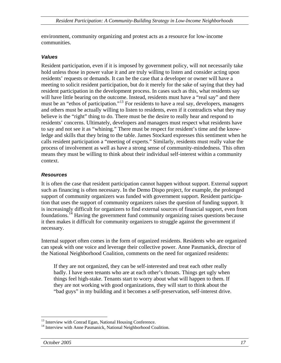<span id="page-22-0"></span>environment, community organizing and protest acts as a resource for low-income communities.

#### *Values*

Resident participation, even if it is imposed by government policy, will not necessarily take hold unless those in power value it and are truly willing to listen and consider acting upon residents' requests or demands. It can be the case that a developer or owner will have a meeting to solicit resident participation, but do it merely for the sake of saying that they had resident participation in the development process. In cases such as this, what residents say will have little bearing on the outcome. Instead, residents must have a "real say" and there must be an "ethos of participation."<sup>[13](#page-22-1)</sup> For residents to have a real say, developers, managers and others must be actually willing to listen to residents, even if it contradicts what they may believe is the "right" thing to do. There must be the desire to really hear and respond to residents' concerns. Ultimately, developers and managers must respect what residents have to say and not see it as "whining." There must be respect for resident's time and the knowledge and skills that they bring to the table. James Stockard expresses this sentiment when he calls resident participation a "meeting of experts." Similarly, residents must really value the process of involvement as well as have a strong sense of community-mindedness. This often means they must be willing to think about their individual self-interest within a community context.

#### *Resources*

It is often the case that resident participation cannot happen without support. External support such as financing is often necessary. In the Demo Dispo project, for example, the prolonged support of community organizers was funded with government support. Resident participation that uses the support of community organizers raises the question of funding support. It is increasingly difficult for organizers to find external sources of financial support, even from foundations.<sup>[14](#page-22-2)</sup> Having the government fund community organizing raises questions because it then makes it difficult for community organizers to struggle against the government if necessary.

Internal support often comes in the form of organized residents. Residents who are organized can speak with one voice and leverage their collective power. Anne Pasmanick, director of the National Neighborhood Coalition, comments on the need for organized residents:

If they are not organized, they can be self-interested and treat each other really badly. I have seen tenants who are at each other's throats. Things get ugly when things feel high-stake. Tenants start to worry about what will happen to them. If they are not working with good organizations, they will start to think about the "bad guys" in my building and it becomes a self-preservation, self-interest drive.

 $\overline{a}$ <sup>13</sup> Interview with Conrad Egan, National Housing Conference.

<span id="page-22-2"></span><span id="page-22-1"></span><sup>&</sup>lt;sup>14</sup> Interview with Anne Pasmanick, National Neighborhood Coalition.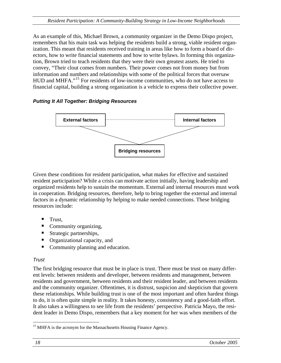<span id="page-23-0"></span>As an example of this, Michael Brown, a community organizer in the Demo Dispo project, remembers that his main task was helping the residents build a strong, viable resident organization. This meant that residents received training in areas like how to form a board of directors, how to write financial statements and how to write bylaws. In forming this organization, Brown tried to teach residents that they were their own greatest assets. He tried to convey, "Their clout comes from numbers. Their power comes not from money but from information and numbers and relationships with some of the political forces that oversaw HUD and MHFA."<sup>[15](#page-23-1)</sup> For residents of low-income communities, who do not have access to financial capital, building a strong organization is a vehicle to express their collective power.

#### *Putting It All Together: Bridging Resources*



Given these conditions for resident participation, what makes for effective and sustained resident participation? While a crisis can motivate action initially, having leadership and organized residents help to sustain the momentum. External and internal resources must work in cooperation. Bridging resources, therefore, help to bring together the external and internal factors in a dynamic relationship by helping to make needed connections. These bridging resources include:

- Trust,
- Community organizing,
- $\blacksquare$  Strategic partnerships,
- Organizational capacity, and
- Community planning and education.

## *Trust*

The first bridging resource that must be in place is trust. There must be trust on many different levels: between residents and developer, between residents and management, between residents and government, between residents and their resident leader, and between residents and the community organizer. Oftentimes, it is distrust, suspicion and skepticism that govern these relationships. While building trust is one of the most important and often hardest things to do, it is often quite simple in reality. It takes honesty, consistency and a good-faith effort. It also takes a willingness to see life from the residents' perspective. Patricia Mayo, the resident leader in Demo Dispo, remembers that a key moment for her was when members of the

<span id="page-23-1"></span> $\overline{a}$ <sup>15</sup> MHFA is the acronym for the Massachusetts Housing Finance Agency.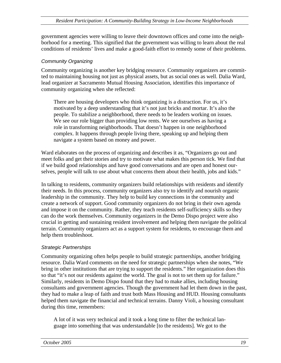<span id="page-24-0"></span>government agencies were willing to leave their downtown offices and come into the neighborhood for a meeting. This signified that the government was willing to learn about the real conditions of residents' lives and make a good-faith effort to remedy some of their problems.

#### *Community Organizing*

Community organizing is another key bridging resource. Community organizers are committed to maintaining housing not just as physical assets, but as social ones as well. Dalia Ward, lead organizer at Sacramento Mutual Housing Association, identifies this importance of community organizing when she reflected:

There are housing developers who think organizing is a distraction. For us, it's motivated by a deep understanding that it's not just bricks and mortar. It's also the people. To stabilize a neighborhood, there needs to be leaders working on issues. We see our role bigger than providing low rents. We see ourselves as having a role in transforming neighborhoods. That doesn't happen in one neighborhood complex. It happens through people living there, speaking up and helping them navigate a system based on money and power.

Ward elaborates on the process of organizing and describes it as, "Organizers go out and meet folks and get their stories and try to motivate what makes this person tick. We find that if we build good relationships and have good conversations and are open and honest ourselves, people will talk to use about what concerns them about their health, jobs and kids."

In talking to residents, community organizers build relationships with residents and identify their needs. In this process, community organizers also try to identify and nourish organic leadership in the community. They help to build key connections in the community and create a network of support. Good community organizers do not bring in their own agenda and impose it on the community. Rather, they teach residents self-sufficiency skills so they can do the work themselves. Community organizers in the Demo Dispo project were also crucial in getting and sustaining resident involvement and helping them navigate the political terrain. Community organizers act as a support system for residents, to encourage them and help them troubleshoot.

#### *Strategic Partnerships*

Community organizing often helps people to build strategic partnerships, another bridging resource. Dalia Ward comments on the need for strategic partnerships when she notes, "We bring in other institutions that are trying to support the residents." Her organization does this so that "it's not our residents against the world. The goal is not to set them up for failure." Similarly, residents in Demo Dispo found that they had to make allies, including housing consultants and government agencies. Though the government had let them down in the past, they had to make a leap of faith and trust both Mass Housing and HUD. Housing consultants helped them navigate the financial and technical terrains. Danny Violi, a housing consultant during this time, remembers:

A lot of it was very technical and it took a long time to filter the technical language into something that was understandable [to the residents]. We got to the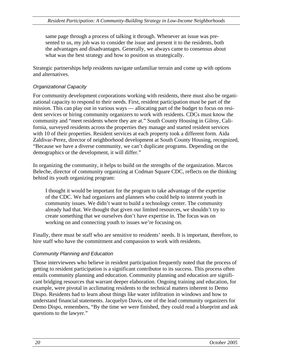<span id="page-25-0"></span>same page through a process of talking it through. Whenever an issue was presented to us, my job was to consider the issue and present it to the residents, both the advantages and disadvantages. Generally, we always came to consensus about what was the best strategy and how to position us strategically.

Strategic partnerships help residents navigate unfamiliar terrain and come up with options and alternatives.

#### *Organizational Capacity*

For community development corporations working with residents, there must also be organizational capacity to respond to their needs. First, resident participation must be part of the mission. This can play out in various ways — allocating part of the budget to focus on resident services or hiring community organizers to work with residents. CDCs must know the community and "meet residents where they are at." South County Housing in Gilroy, California, surveyed residents across the properties they manage and started resident services with 10 of their properties. Resident services at each property took a different form. Aida Zaldivar-Perez, director of neighborhood development at South County Housing, recognized, "Because we have a diverse community, we can't duplicate programs. Depending on the demographics or the development, it will differ."

In organizing the community, it helps to build on the strengths of the organization. Marcos Beleche, director of community organizing at Codman Square CDC, reflects on the thinking behind its youth organizing program:

I thought it would be important for the program to take advantage of the expertise of the CDC. We had organizers and planners who could help to interest youth in community issues. We didn't want to build a technology center. The community already had that. We thought that given our limited resources, we shouldn't try to create something that we ourselves don't have expertise in. The focus was on working on and connecting youth to issues we're focusing on.

Finally, there must be staff who are sensitive to residents' needs. It is important, therefore, to hire staff who have the commitment and compassion to work with residents.

#### *Community Planning and Education*

Those interviewees who believe in resident participation frequently noted that the process of getting to resident participation is a significant contributor to its success. This process often entails community planning and education. Community planning and education are significant bridging resources that warrant deeper elaboration. Ongoing training and education, for example, were pivotal in acclimating residents to the technical matters inherent to Demo Dispo. Residents had to learn about things like water infiltration in windows and how to understand financial statements. Jacquelyn Davis, one of the lead community organizers for Demo Dispo, remembers, "By the time we were finished, they could read a blueprint and ask questions to the lawyer."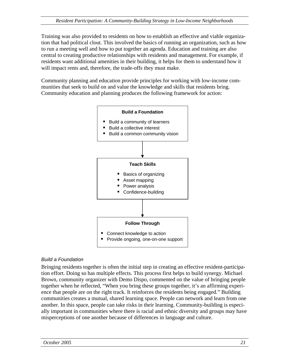Training was also provided to residents on how to establish an effective and viable organization that had political clout. This involved the basics of running an organization, such as how to run a meeting well and how to put together an agenda. Education and training are also central to creating productive relationships with residents and management. For example, if residents want additional amenities in their building, it helps for them to understand how it will impact rents and, therefore, the trade-offs they must make.

Community planning and education provide principles for working with low-income communities that seek to build on and value the knowledge and skills that residents bring. Community education and planning produces the following framework for action:



#### *Build a Foundation*

Bringing residents together is often the initial step in creating an effective resident-participation effort. Doing so has multiple effects. This process first helps to build synergy. Michael Brown, community organizer with Demo Dispo, commented on the value of bringing people together when he reflected, "When you bring these groups together, it's an affirming experience that people are on the right track. It reinforces the residents being engaged." Building communities creates a mutual, shared learning space. People can network and learn from one another. In this space, people can take risks in their learning. Community-building is especially important in communities where there is racial and ethnic diversity and groups may have misperceptions of one another because of differences in language and culture.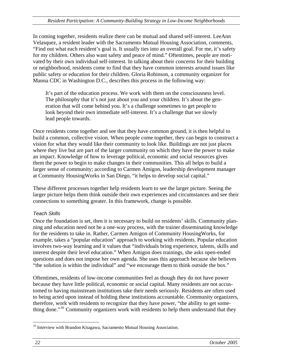In coming together, residents realize there can be mutual and shared self-interest. LeeAnn Velasquez, a resident leader with the Sacramento Mutual Housing Association, comments, "Find out what each resident's goal is. It usually ties into an overall goal. For me, it's safety for my children. Others also want safety and peace of mind." Oftentimes, people are motivated by their own individual self-interest. In talking about their concerns for their building or neighborhood, residents come to find that they have common interests around issues like public safety or education for their children. Gloria Robinson, a community organizer for Manna CDC in Washington D.C., describes this process in the following way:

It's part of the education process. We work with them on the consciousness level. The philosophy that it's not just about you and your children. It's about the generation that will come behind you. It's a challenge sometimes to get people to look beyond their own immediate self-interest. It's a challenge that we slowly lead people towards.

Once residents come together and see that they have common ground, it is then helpful to build a common, collective vision. When people come together, they can begin to construct a vision for what they would like their community to look like. Buildings are not just places where they live but are part of the larger community on which they have the power to make an impact. Knowledge of how to leverage political, economic and social resources gives them the power to begin to make changes in their communities. This all helps to build a larger sense of community; according to Carmen Amigon, leadership development manager at Community HousingWorks in San Diego, "it helps to develop social capital."

These different processes together help residents learn to see the larger picture. Seeing the larger picture helps them think outside their own experiences and circumstances and see their connections to something greater. In this framework, change is possible.

#### *Teach Skills*

Once the foundation is set, then it is necessary to build on residents' skills. Community planning and education need not be a one-way process, with the trainer disseminating knowledge for the residents to take in. Rather, Carmen Amigon of Community HousingWorks, for example, takes a "popular education" approach to working with residents. Popular education involves two-way learning and it values that "individuals bring experience, talents, skills and interest despite their level education." When Amigon does trainings, she asks open-ended questions and does not impose her own agenda. She uses this approach because she believes "the solution is within the individual" and "we encourage them to think outside the box."

Oftentimes, residents of low-income communities feel as though they do not have power because they have little political, economic or social capital. Many residents are not accustomed to having mainstream institutions take their needs seriously. Residents are often used to being acted upon instead of holding these institutions accountable. Community organizers, therefore, work with residents to recognize that they have power, "the ability to get some-thing done."<sup>[16](#page-27-0)</sup> Community organizers work with residents to help them understand that they

<span id="page-27-0"></span> $\overline{a}$ <sup>16</sup> Interview with Brandon Kitagawa, Sacramento Mutual Housing Association.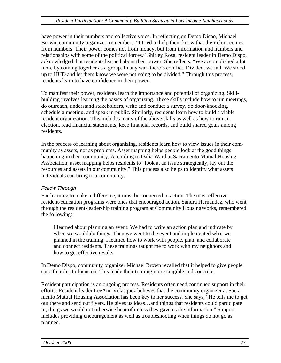have power in their numbers and collective voice. In reflecting on Demo Dispo, Michael Brown, community organizer, remembers, "I tried to help them know that their clout comes from numbers. Their power comes not from money, but from information and numbers and relationships with some of the political forces." Shirley Rosa, resident leader in Demo Dispo, acknowledged that residents learned about their power. She reflects, "We accomplished a lot more by coming together as a group. In any war, there's conflict. Divided, we fall. We stood up to HUD and let them know we were not going to be divided." Through this process, residents learn to have confidence in their power.

To manifest their power, residents learn the importance and potential of organizing. Skillbuilding involves learning the basics of organizing. These skills include how to run meetings, do outreach, understand stakeholders, write and conduct a survey, do door-knocking, schedule a meeting, and speak in public. Similarly, residents learn how to build a viable resident organization. This includes many of the above skills as well as how to run an election, read financial statements, keep financial records, and build shared goals among residents.

In the process of learning about organizing, residents learn how to view issues in their community as assets, not as problems. Asset mapping helps people look at the good things happening in their community. According to Dalia Ward at Sacramento Mutual Housing Association, asset mapping helps residents to "look at an issue strategically, lay out the resources and assets in our community." This process also helps to identify what assets individuals can bring to a community.

#### *Follow Through*

For learning to make a difference, it must be connected to action. The most effective resident-education programs were ones that encouraged action. Sandra Hernandez, who went through the resident-leadership training program at Community HousingWorks, remembered the following:

I learned about planning an event. We had to write an action plan and indicate by when we would do things. Then we went to the event and implemented what we planned in the training. I learned how to work with people, plan, and collaborate and connect residents. These trainings taught me to work with my neighbors and how to get effective results.

In Demo Dispo, community organizer Michael Brown recalled that it helped to give people specific roles to focus on. This made their training more tangible and concrete.

Resident participation is an ongoing process. Residents often need continued support in their efforts. Resident leader LeeAnn Velasquez believes that the community organizer at Sacramento Mutual Housing Association has been key to her success. She says, "He tells me to get out there and send out flyers. He gives us ideas…and things that residents could participate in, things we would not otherwise hear of unless they gave us the information." Support includes providing encouragement as well as troubleshooting when things do not go as planned.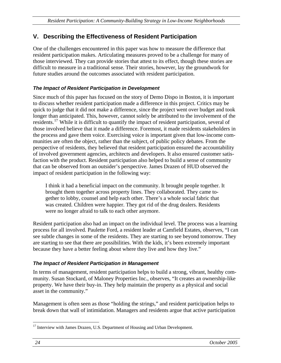## <span id="page-29-0"></span>**V. Describing the Effectiveness of Resident Participation**

One of the challenges encountered in this paper was how to measure the difference that resident participation makes. Articulating measures proved to be a challenge for many of those interviewed. They can provide stories that attest to its effect, though these stories are difficult to measure in a traditional sense. Their stories, however, lay the groundwork for future studies around the outcomes associated with resident participation.

### *The Impact of Resident Participation in Development*

Since much of this paper has focused on the story of Demo Dispo in Boston, it is important to discuss whether resident participation made a difference in this project. Critics may be quick to judge that it did not make a difference, since the project went over budget and took longer than anticipated. This, however, cannot solely be attributed to the involvement of the residents.<sup>[17](#page-29-1)</sup> While it is difficult to quantify the impact of resident participation, several of those involved believe that it made a difference. Foremost, it made residents stakeholders in the process and gave them voice. Exercising voice is important given that low-income communities are often the object, rather than the subject, of public policy debates. From the perspective of residents, they believed that resident participation ensured the accountability of involved government agencies, architects and developers. It also ensured customer satisfaction with the product. Resident participation also helped to build a sense of community that can be observed from an outsider's perspective. James Drazen of HUD observed the impact of resident participation in the following way:

I think it had a beneficial impact on the community. It brought people together. It brought them together across property lines. They collaborated. They came together to lobby, counsel and help each other. There's a whole social fabric that was created. Children were happier. They got rid of the drug dealers. Residents were no longer afraid to talk to each other anymore.

Resident participation also had an impact on the individual level. The process was a learning process for all involved. Paulette Ford, a resident leader at Camfield Estates, observes, "I can see subtle changes in some of the residents. They are starting to see beyond tomorrow. They are starting to see that there are possibilities. With the kids, it's been extremely important because they have a better feeling about where they live and how they live."

#### *The Impact of Resident Participation in Management*

In terms of management, resident participation helps to build a strong, vibrant, healthy community. Susan Stockard, of Maloney Properties Inc., observes, "It creates an ownership-like property. We have their buy-in. They help maintain the property as a physical and social asset in the community."

Management is often seen as those "holding the strings," and resident participation helps to break down that wall of intimidation. Managers and residents argue that active participation

<span id="page-29-1"></span> $\overline{a}$ <sup>17</sup> Interview with James Drazen, U.S. Department of Housing and Urban Development.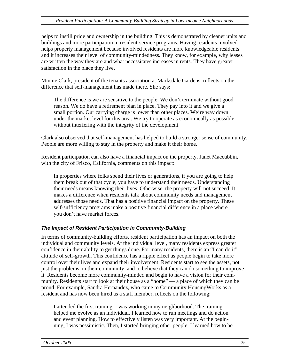<span id="page-30-0"></span>helps to instill pride and ownership in the building. This is demonstrated by cleaner units and buildings and more participation in resident-service programs. Having residents involved helps property management because involved residents are more knowledgeable residents and it increases their level of community-mindedness. They know, for example, why leases are written the way they are and what necessitates increases in rents. They have greater satisfaction in the place they live.

Minnie Clark, president of the tenants association at Marksdale Gardens, reflects on the difference that self-management has made there. She says:

The difference is we are sensitive to the people. We don't terminate without good reason. We do have a retirement plan in place. They pay into it and we give a small portion. Our carrying charge is lower than other places. We're way down under the market level for this area. We try to operate as economically as possible without interfering with the integrity of the development.

Clark also observed that self-management has helped to build a stronger sense of community. People are more willing to stay in the property and make it their home.

Resident participation can also have a financial impact on the property. Janet Maccubbin, with the city of Frisco, California, comments on this impact:

In properties where folks spend their lives or generations, if you are going to help them break out of that cycle, you have to understand their needs. Understanding their needs means knowing their lives. Otherwise, the property will not succeed. It makes a difference when residents talk about community needs and management addresses those needs. That has a positive financial impact on the property. These self-sufficiency programs make a positive financial difference in a place where you don't have market forces.

## *The Impact of Resident Participation in Community-Building*

In terms of community-building efforts, resident participation has an impact on both the individual and community levels. At the individual level, many residents express greater confidence in their ability to get things done. For many residents, there is an "I can do it" attitude of self-growth. This confidence has a ripple effect as people begin to take more control over their lives and expand their involvement. Residents start to see the assets, not just the problems, in their community, and to believe that they can do something to improve it. Residents become more community-minded and begin to have a vision for their community. Residents start to look at their house as a "home" — a place of which they can be proud. For example, Sandra Hernandez, who came to Community HousingWorks as a resident and has now been hired as a staff member, reflects on the following:

I attended the first training. I was working in my neighborhood. The training helped me evolve as an individual. I learned how to run meetings and do action and event planning. How to effectively listen was very important. At the beginning, I was pessimistic. Then, I started bringing other people. I learned how to be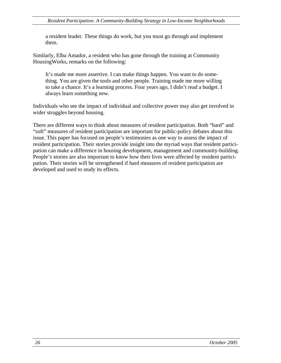a resident leader. These things do work, but you must go through and implement them.

Similarly, Elba Amador, a resident who has gone through the training at Community HousingWorks, remarks on the following:

It's made me more assertive. I can make things happen. You want to do something. You are given the tools and other people. Training made me more willing to take a chance. It's a learning process. Four years ago, I didn't read a budget. I always learn something new.

Individuals who see the impact of individual and collective power may also get involved in wider struggles beyond housing.

There are different ways to think about measures of resident participation. Both "hard" and "soft" measures of resident participation are important for public-policy debates about this issue. This paper has focused on people's testimonies as one way to assess the impact of resident participation. Their stories provide insight into the myriad ways that resident participation can make a difference in housing development, management and community-building. People's stories are also important to know how their lives were affected by resident participation. Their stories will be strengthened if hard measures of resident participation are developed and used to study its effects.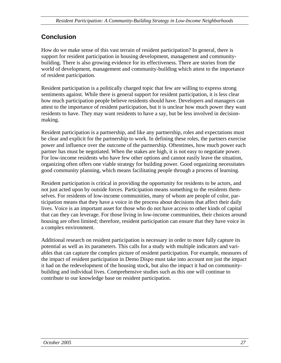## **Conclusion**

How do we make sense of this vast terrain of resident participation? In general, there is support for resident participation in housing development, management and communitybuilding. There is also growing evidence for its effectiveness. There are stories from the world of development, management and community-building which attest to the importance of resident participation.

Resident participation is a politically charged topic that few are willing to express strong sentiments against. While there is general support for resident participation, it is less clear how much participation people believe residents should have. Developers and managers can attest to the importance of resident participation, but it is unclear how much power they want residents to have. They may want residents to have a say, but be less involved in decisionmaking.

Resident participation is a partnership, and like any partnership, roles and expectations must be clear and explicit for the partnership to work. In defining these roles, the partners exercise power and influence over the outcome of the partnership. Oftentimes, how much power each partner has must be negotiated. When the stakes are high, it is not easy to negotiate power. For low-income residents who have few other options and cannot easily leave the situation, organizing often offers one viable strategy for building power. Good organizing necessitates good community planning, which means facilitating people through a process of learning.

Resident participation is critical in providing the opportunity for residents to be actors, and not just acted upon by outside forces. Participation means something to the residents themselves. For residents of low-income communities, many of whom are people of color, participation means that they have a voice in the process about decisions that affect their daily lives. Voice is an important asset for those who do not have access to other kinds of capital that can they can leverage. For those living in low-income communities, their choices around housing are often limited; therefore, resident participation can ensure that they have voice in a complex environment.

Additional research on resident participation is necessary in order to more fully capture its potential as well as its parameters. This calls for a study with multiple indicators and variables that can capture the complex picture of resident participation. For example, measures of the impact of resident participation in Demo Dispo must take into account not just the impact it had on the redevelopment of the housing stock, but also the impact it had on communitybuilding and individual lives. Comprehensive studies such as this one will continue to contribute to our knowledge base on resident participation.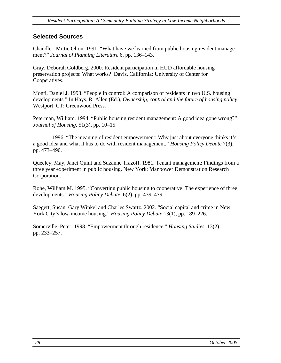## <span id="page-33-0"></span>**Selected Sources**

Chandler, Mittie Olion. 1991. "What have we learned from public housing resident management?" *Journal of Planning Literature* 6, pp. 136–143.

Gray, Deborah Goldberg. 2000. Resident participation in HUD affordable housing preservation projects: What works? Davis, California: University of Center for Cooperatives.

Monti, Daniel J. 1993. "People in control: A comparison of residents in two U.S. housing developments." In Hays, R. Allen (Ed.), *Ownership, control and the future of housing policy.* Westport, CT: Greenwood Press.

Peterman, William. 1994. "Public housing resident management: A good idea gone wrong?" *Journal of Housing,* 51(3), pp. 10–15.

———. 1996. "The meaning of resident empowerment: Why just about everyone thinks it's a good idea and what it has to do with resident management." *Housing Policy Debate* 7(3), pp. 473–490.

Queeley, May, Janet Quint and Suzanne Trazoff. 1981. Tenant management: Findings from a three year experiment in public housing. New York: Manpower Demonstration Research Corporation.

Rohe, William M. 1995. "Converting public housing to cooperative: The experience of three developments." *Housing Policy Debate,* 6(2), pp. 439–479.

Saegert, Susan, Gary Winkel and Charles Swartz. 2002. "Social capital and crime in New York City's low-income housing." *Housing Policy Debate* 13(1), pp. 189–226.

Somerville, Peter. 1998. "Empowerment through residence." *Housing Studies.* 13(2), pp. 233–257.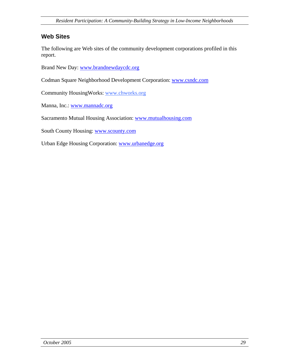## <span id="page-34-0"></span>**Web Sites**

The following are Web sites of the community development corporations profiled in this report.

Brand New Day: [www.brandnewdaycdc.org](http://www.brandnewdaycdc.org/)

Codman Square Neighborhood Development Corporation: [www.csndc.com](http://www.csndc.com/)

Community HousingWorks: [www.chworks.org](http://www.chworks.org/)

Manna, Inc.: [www.mannadc.org](http://www.mannadc.org/)

Sacramento Mutual Housing Association: [www.mutualhousing.com](http://www.mutualhousing.com/)

South County Housing: [www.scounty.com](http://www.scounty.com/)

Urban Edge Housing Corporation: [www.urbanedge.org](http://www.urbanedge.org/)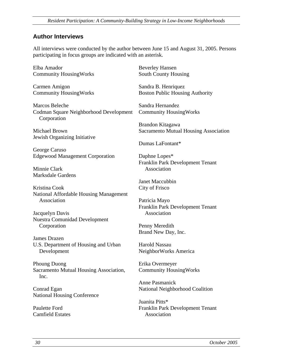#### <span id="page-35-0"></span>**Author Interviews**

All interviews were conducted by the author between June 15 and August 31, 2005. Persons participating in focus groups are indicated with an asterisk.

Elba Amador Community HousingWorks

Carmen Amigon Community HousingWorks

Marcos Beleche Codman Square Neighborhood Development Corporation

Michael Brown Jewish Organizing Initiative

George Caruso Edgewood Management Corporation

Minnie Clark Marksdale Gardens

Kristina Cook National Affordable Housing Management Association

Jacquelyn Davis Nuestra Comunidad Development Corporation

James Drazen U.S. Department of Housing and Urban Development

Phoung Duong Sacramento Mutual Housing Association, Inc.

Conrad Egan National Housing Conference

Paulette Ford Camfield Estates Beverley Hansen South County Housing

Sandra B. Henriquez Boston Public Housing Authority

Sandra Hernandez Community HousingWorks

Brandon Kitagawa Sacramento Mutual Housing Association

Dumas LaFontant\*

Daphne Lopes\* Franklin Park Development Tenant Association

Janet Maccubbin City of Frisco

Patricia Mayo Franklin Park Development Tenant Association

Penny Meredith Brand New Day, Inc.

Harold Nassau NeighborWorks America

Erika Overmeyer Community HousingWorks

Anne Pasmanick National Neighborhood Coalition

Juanita Pitts\* Franklin Park Development Tenant Association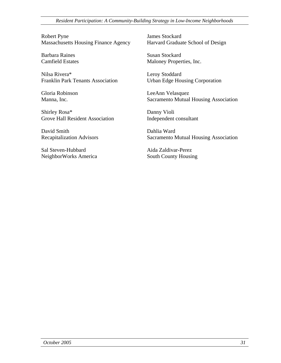*Resident Participation: A Community-Building Strategy in Low-Income Neighborhoods*

Robert Pyne Massachusetts Housing Finance Agency

Barbara Raines Camfield Estates

Nilsa Rivera\* Franklin Park Tenants Association

Gloria Robinson Manna, Inc.

Shirley Rosa\* Grove Hall Resident Association

David Smith Recapitalization Advisors

Sal Steven-Hubbard NeighborWorks America James Stockard Harvard Graduate School of Design

Susan Stockard Maloney Properties, Inc.

Leroy Stoddard Urban Edge Housing Corporation

LeeAnn Velasquez Sacramento Mutual Housing Association

Danny Violi Independent consultant

Dahlia Ward Sacramento Mutual Housing Association

Aida Zaldivar-Perez South County Housing